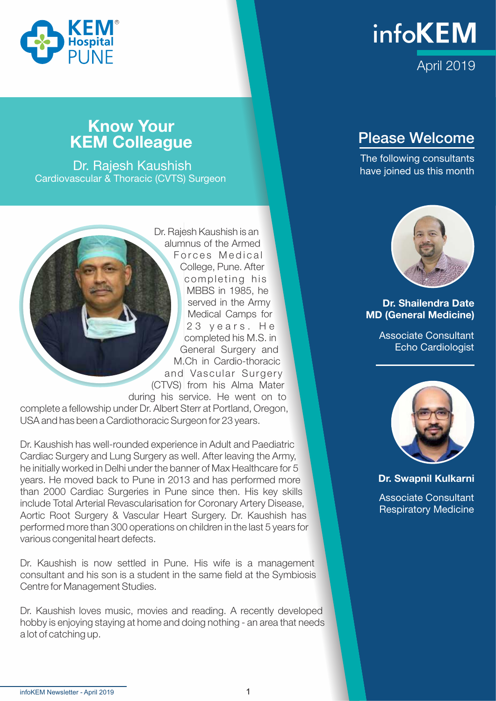

### **Know Your** KEM Colleague

 Dr. Rajesh Kaushish Cardiovascular & Thoracic (CVTS) Surgeon

Dr. Rajesh Kaushish is an alumnus of the Armed Forces Medical College, Pune. After completing his MBBS in 1985, he served in the Army Medical Camps for 23 years. He completed his M.S. in General Surgery and M.Ch in Cardio-thoracic and Vascular Surgery (CTVS) from his Alma Mater during his service. He went on to complete a fellowship under Dr. Albert Sterr at Portland, Oregon, USA and has been a Cardiothoracic Surgeon for 23 years.

Dr. Kaushish has well-rounded experience in Adult and Paediatric Cardiac Surgery and Lung Surgery as well. After leaving the Army, he initially worked in Delhi under the banner of Max Healthcare for 5 years. He moved back to Pune in 2013 and has performed more than 2000 Cardiac Surgeries in Pune since then. His key skills include Total Arterial Revascularisation for Coronary Artery Disease, Aortic Root Surgery & Vascular Heart Surgery. Dr. Kaushish has performed more than 300 operations on children in the last 5 years for various congenital heart defects.

Dr. Kaushish is now settled in Pune. His wife is a management consultant and his son is a student in the same field at the Symbiosis Centre for Management Studies.

Dr. Kaushish loves music, movies and reading. A recently developed hobby is enjoying staying at home and doing nothing - an area that needs a lot of catching up.



### Please Welcome

The following consultants have joined us this month



#### Dr. Shailendra Date MD (General Medicine)

Associate Consultant Echo Cardiologist



Dr. Swapnil Kulkarni

Associate Consultant Respiratory Medicine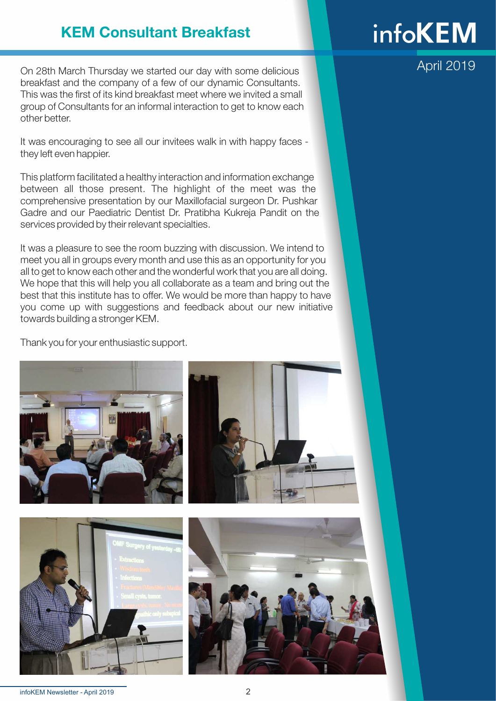### KEM Consultant Breakfast

On 28th March Thursday we started our day with some delicious breakfast and the company of a few of our dynamic Consultants. This was the first of its kind breakfast meet where we invited a small group of Consultants for an informal interaction to get to know each other better.

It was encouraging to see all our invitees walk in with happy faces they left even happier.

This platform facilitated a healthy interaction and information exchange between all those present. The highlight of the meet was the comprehensive presentation by our Maxillofacial surgeon Dr. Pushkar Gadre and our Paediatric Dentist Dr. Pratibha Kukreja Pandit on the services provided by their relevant specialties.

It was a pleasure to see the room buzzing with discussion. We intend to meet you all in groups every month and use this as an opportunity for you all to get to know each other and the wonderful work that you are all doing. We hope that this will help you all collaborate as a team and bring out the best that this institute has to offer. We would be more than happy to have you come up with suggestions and feedback about our new initiative towards building a stronger KEM.

Thank you for your enthusiastic support.









# **infoKEM**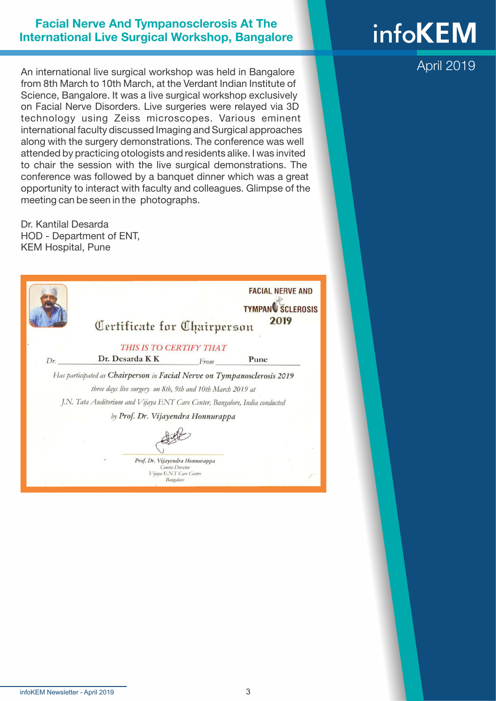#### Facial Nerve And Tympanosclerosis At The International Live Surgical Workshop, Bangalore

An international live surgical workshop was held in Bangalore from 8th March to 10th March, at the Verdant Indian Institute of Science, Bangalore. It was a live surgical workshop exclusively on Facial Nerve Disorders. Live surgeries were relayed via 3D technology using Zeiss microscopes. Various eminent international faculty discussed Imaging and Surgical approaches along with the surgery demonstrations. The conference was well attended by practicing otologists and residents alike. I was invited to chair the session with the live surgical demonstrations. The conference was followed by a banquet dinner which was a great opportunity to interact with faculty and colleagues. Glimpse of the meeting can be seen in the photographs.

Dr. Kantilal Desarda HOD - Department of ENT, KEM Hospital, Pune



Vijaya E.N.T Care Centre Bangalori

# **infoKEM**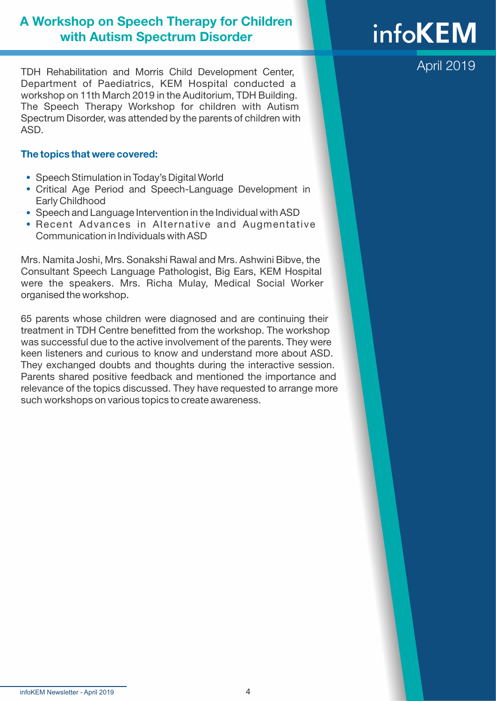#### A Workshop on Speech Therapy for Children with Autism Spectrum Disorder

TDH Rehabilitation and Morris Child Development Center, Department of Paediatrics, KEM Hospital conducted a workshop on 11th March 2019 in the Auditorium, TDH Building. The Speech Therapy Workshop for children with Autism Spectrum Disorder, was attended by the parents of children with ASD.

#### The topics that were covered:

- Speech Stimulation in Today's Digital World
- Critical Age Period and Speech-Language Development in Early Childhood
- Speech and Language Intervention in the Individual with ASD
- Recent Advances in Alternative and Augmentative Communication in Individuals with ASD

Mrs. Namita Joshi, Mrs. Sonakshi Rawal and Mrs. Ashwini Bibve, the Consultant Speech Language Pathologist, Big Ears, KEM Hospital were the speakers. Mrs. Richa Mulay, Medical Social Worker organised the workshop.

65 parents whose children were diagnosed and are continuing their treatment in TDH Centre benefitted from the workshop. The workshop was successful due to the active involvement of the parents. They were keen listeners and curious to know and understand more about ASD. They exchanged doubts and thoughts during the interactive session. Parents shared positive feedback and mentioned the importance and relevance of the topics discussed. They have requested to arrange more such workshops on various topics to create awareness.

# **infoKEM**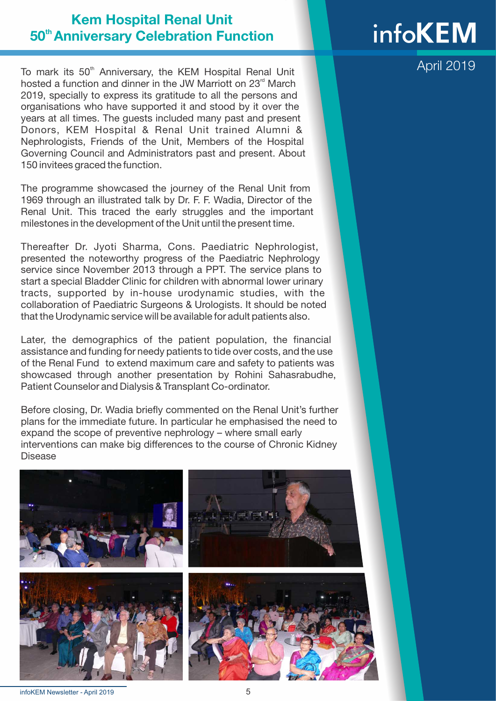### Kem Hospital Renal Unit 50<sup>th</sup> Anniversary Celebration Function

To mark its 50<sup>th</sup> Anniversary, the KEM Hospital Renal Unit hosted a function and dinner in the JW Marriott on 23 $^{\text{rd}}$  March 2019, specially to express its gratitude to all the persons and organisations who have supported it and stood by it over the years at all times. The guests included many past and present Donors, KEM Hospital & Renal Unit trained Alumni & Nephrologists, Friends of the Unit, Members of the Hospital Governing Council and Administrators past and present. About 150 invitees graced the function.

The programme showcased the journey of the Renal Unit from 1969 through an illustrated talk by Dr. F. F. Wadia, Director of the Renal Unit. This traced the early struggles and the important milestones in the development of the Unit until the present time.

Thereafter Dr. Jyoti Sharma, Cons. Paediatric Nephrologist, presented the noteworthy progress of the Paediatric Nephrology service since November 2013 through a PPT. The service plans to start a special Bladder Clinic for children with abnormal lower urinary tracts, supported by in-house urodynamic studies, with the collaboration of Paediatric Surgeons & Urologists. It should be noted that the Urodynamic service will be available for adult patients also.

Later, the demographics of the patient population, the financial assistance and funding for needy patients to tide over costs, and the use of the Renal Fund to extend maximum care and safety to patients was showcased through another presentation by Rohini Sahasrabudhe, Patient Counselor and Dialysis & Transplant Co-ordinator.

Before closing, Dr. Wadia briefly commented on the Renal Unit's further plans for the immediate future. In particular he emphasised the need to expand the scope of preventive nephrology – where small early interventions can make big differences to the course of Chronic Kidney Disease



## **infoKEM**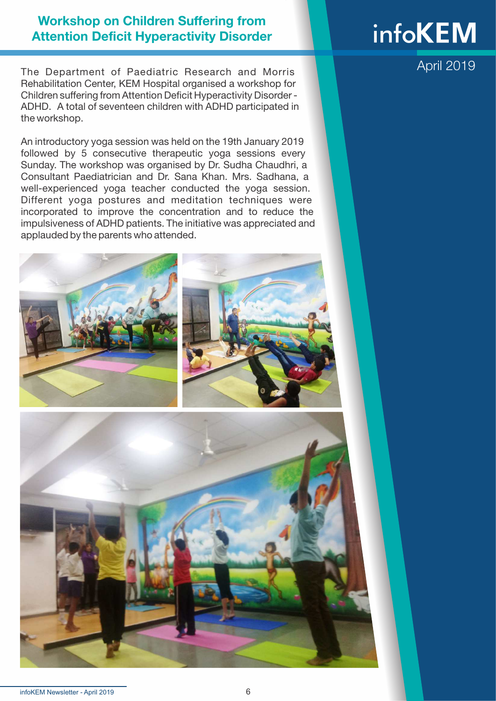#### Workshop on Children Suffering from Attention Deficit Hyperactivity Disorder

The Department of Paediatric Research and Morris Rehabilitation Center, KEM Hospital organised a workshop for Children suffering from Attention Deficit Hyperactivity Disorder - ADHD. A total of seventeen children with ADHD participated in the workshop.

An introductory yoga session was held on the 19th January 2019 followed by 5 consecutive therapeutic yoga sessions every Sunday. The workshop was organised by Dr. Sudha Chaudhri, a Consultant Paediatrician and Dr. Sana Khan. Mrs. Sadhana, a well-experienced yoga teacher conducted the yoga session. Different yoga postures and meditation techniques were incorporated to improve the concentration and to reduce the impulsiveness of ADHD patients. The initiative was appreciated and applauded by the parents who attended.





# **infoKEM**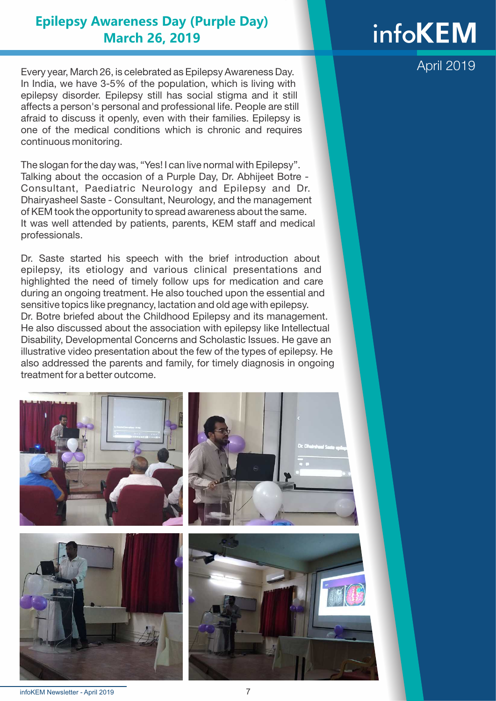#### **Epilepsy Awareness Day (Purple Day) March 26, 2019**

Every year, March 26, is celebrated as Epilepsy Awareness Day. In India, we have 3-5% of the population, which is living with epilepsy disorder. Epilepsy still has social stigma and it still affects a person's personal and professional life. People are still afraid to discuss it openly, even with their families. Epilepsy is one of the medical conditions which is chronic and requires continuous monitoring.

The slogan for the day was, "Yes! I can live normal with Epilepsy". Talking about the occasion of a Purple Day, Dr. Abhijeet Botre - Consultant, Paediatric Neurology and Epilepsy and Dr. Dhairyasheel Saste - Consultant, Neurology, and the management of KEM took the opportunity to spread awareness about the same. It was well attended by patients, parents, KEM staff and medical professionals.

Dr. Saste started his speech with the brief introduction about epilepsy, its etiology and various clinical presentations and highlighted the need of timely follow ups for medication and care during an ongoing treatment. He also touched upon the essential and sensitive topics like pregnancy, lactation and old age with epilepsy. Dr. Botre briefed about the Childhood Epilepsy and its management. He also discussed about the association with epilepsy like Intellectual Disability, Developmental Concerns and Scholastic Issues. He gave an illustrative video presentation about the few of the types of epilepsy. He also addressed the parents and family, for timely diagnosis in ongoing treatment for a better outcome.



### **infoKEM**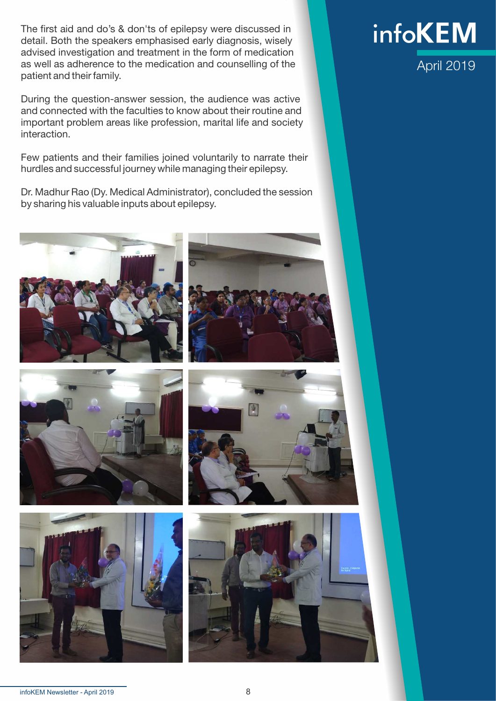The first aid and do's & don'ts of epilepsy were discussed in detail. Both the speakers emphasised early diagnosis, wisely advised investigation and treatment in the form of medication as well as adherence to the medication and counselling of the patient and their family.

During the question-answer session, the audience was active and connected with the faculties to know about their routine and important problem areas like profession, marital life and society interaction.

Few patients and their families joined voluntarily to narrate their hurdles and successful journey while managing their epilepsy.

Dr. Madhur Rao (Dy. Medical Administrator), concluded the session by sharing his valuable inputs about epilepsy.











### April 2019 **infoKEM**